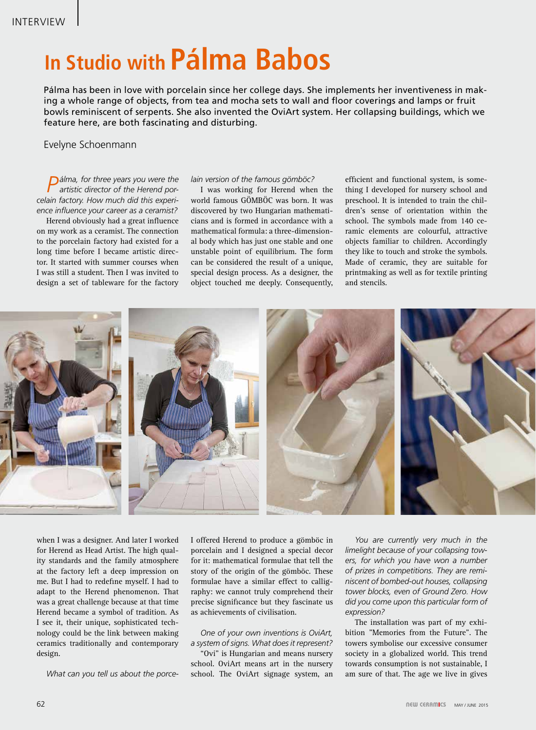# **In Studio with Pálma Babos**

Pálma has been in love with porcelain since her college days. She implements her inventiveness in making a whole range of objects, from tea and mocha sets to wall and floor coverings and lamps or fruit bowls reminiscent of serpents. She also invented the OviArt system. Her collapsing buildings, which we feature here, are both fascinating and disturbing.

# Evelyne Schoenmann

*Pálma, for three years you were the artistic director of the Herend porcelain factory. How much did this experience influence your career as a ceramist?* 

Herend obviously had a great influence on my work as a ceramist. The connection to the porcelain factory had existed for a long time before I became artistic director. It started with summer courses when I was still a student. Then I was invited to design a set of tableware for the factory

#### *lain version of the famous gömböc?*

I was working for Herend when the world famous GÖMBÖC was born. It was discovered by two Hungarian mathematicians and is formed in accordance with a mathematical formula: a three-dimensional body which has just one stable and one unstable point of equilibrium. The form can be considered the result of a unique, special design process. As a designer, the object touched me deeply. Consequently,

efficient and functional system, is something I developed for nursery school and preschool. It is intended to train the children's sense of orientation within the school. The symbols made from 140 ceramic elements are colourful, attractive objects familiar to children. Accordingly they like to touch and stroke the symbols. Made of ceramic, they are suitable for printmaking as well as for textile printing and stencils.



when I was a designer. And later I worked for Herend as Head Artist. The high quality standards and the family atmosphere at the factory left a deep impression on me. But I had to redefine myself. I had to adapt to the Herend phenomenon. That was a great challenge because at that time Herend became a symbol of tradition. As I see it, their unique, sophisticated technology could be the link between making ceramics traditionally and contemporary design.

*What can you tell us about the porce-*

I offered Herend to produce a gömböc in porcelain and I designed a special decor for it: mathematical formulae that tell the story of the origin of the gömböc. These formulae have a similar effect to calligraphy: we cannot truly comprehend their precise significance but they fascinate us as achievements of civilisation.

## *One of your own inventions is OviArt, a system of signs. What does it represent?*

"Ovi" is Hungarian and means nursery school. OviArt means art in the nursery school. The OviArt signage system, an

*You are currently very much in the limelight because of your collapsing towers, for which you have won a number of prizes in competitions. They are reminiscent of bombed-out houses, collapsing tower blocks, even of Ground Zero. How did you come upon this particular form of expression?*

The installation was part of my exhibition "Memories from the Future". The towers symbolise our excessive consumer society in a globalized world. This trend towards consumption is not sustainable, I am sure of that. The age we live in gives